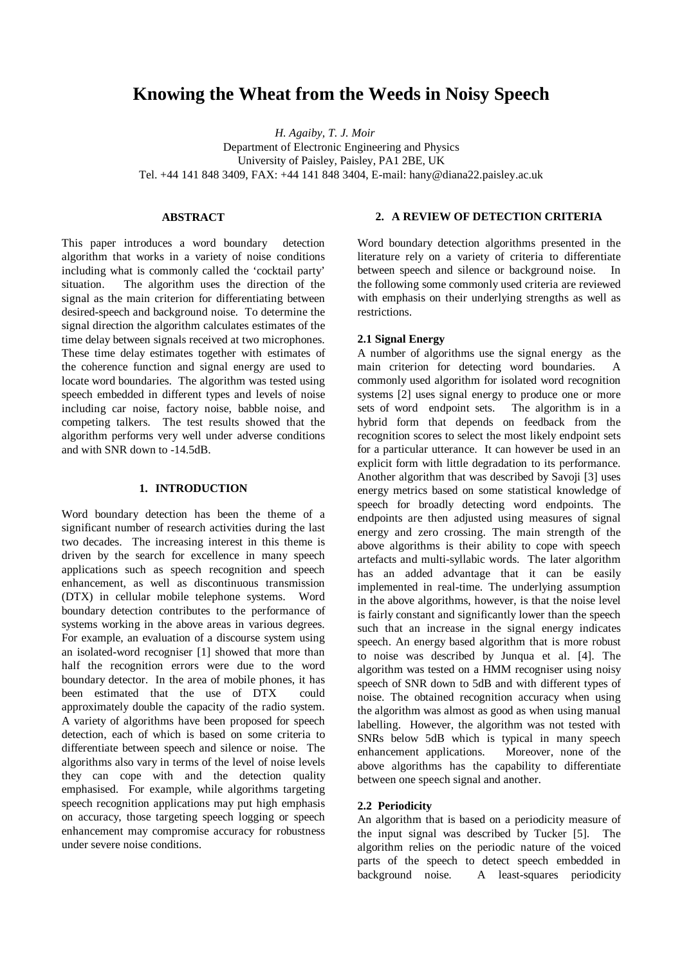# **Knowing the Wheat from the Weeds in Noisy Speech**

*H. Agaiby, T. J. Moir* Department of Electronic Engineering and Physics University of Paisley, Paisley, PA1 2BE, UK Tel. +44 141 848 3409, FAX: +44 141 848 3404, E-mail: hany@diana22.paisley.ac.uk

## **ABSTRACT**

This paper introduces a word boundary detection algorithm that works in a variety of noise conditions including what is commonly called the 'cocktail party' situation. The algorithm uses the direction of the signal as the main criterion for differentiating between desired-speech and background noise. To determine the signal direction the algorithm calculates estimates of the time delay between signals received at two microphones. These time delay estimates together with estimates of the coherence function and signal energy are used to locate word boundaries. The algorithm was tested using speech embedded in different types and levels of noise including car noise, factory noise, babble noise, and competing talkers. The test results showed that the algorithm performs very well under adverse conditions and with SNR down to -14.5dB.

# **1. INTRODUCTION**

Word boundary detection has been the theme of a significant number of research activities during the last two decades. The increasing interest in this theme is driven by the search for excellence in many speech applications such as speech recognition and speech enhancement, as well as discontinuous transmission (DTX) in cellular mobile telephone systems. Word boundary detection contributes to the performance of systems working in the above areas in various degrees. For example, an evaluation of a discourse system using an isolated-word recogniser [1] showed that more than half the recognition errors were due to the word boundary detector. In the area of mobile phones, it has been estimated that the use of DTX could approximately double the capacity of the radio system. A variety of algorithms have been proposed for speech detection, each of which is based on some criteria to differentiate between speech and silence or noise. The algorithms also vary in terms of the level of noise levels they can cope with and the detection quality emphasised. For example, while algorithms targeting speech recognition applications may put high emphasis on accuracy, those targeting speech logging or speech enhancement may compromise accuracy for robustness under severe noise conditions.

## **2. A REVIEW OF DETECTION CRITERIA**

Word boundary detection algorithms presented in the literature rely on a variety of criteria to differentiate between speech and silence or background noise. In the following some commonly used criteria are reviewed with emphasis on their underlying strengths as well as restrictions.

# **2.1 Signal Energy**

A number of algorithms use the signal energy as the main criterion for detecting word boundaries. A commonly used algorithm for isolated word recognition systems [2] uses signal energy to produce one or more sets of word endpoint sets. The algorithm is in a hybrid form that depends on feedback from the recognition scores to select the most likely endpoint sets for a particular utterance. It can however be used in an explicit form with little degradation to its performance. Another algorithm that was described by Savoji [3] uses energy metrics based on some statistical knowledge of speech for broadly detecting word endpoints. The endpoints are then adjusted using measures of signal energy and zero crossing. The main strength of the above algorithms is their ability to cope with speech artefacts and multi-syllabic words. The later algorithm has an added advantage that it can be easily implemented in real-time. The underlying assumption in the above algorithms, however, is that the noise level is fairly constant and significantly lower than the speech such that an increase in the signal energy indicates speech. An energy based algorithm that is more robust to noise was described by Junqua et al. [4]. The algorithm was tested on a HMM recogniser using noisy speech of SNR down to 5dB and with different types of noise. The obtained recognition accuracy when using the algorithm was almost as good as when using manual labelling. However, the algorithm was not tested with SNRs below 5dB which is typical in many speech enhancement applications. Moreover, none of the above algorithms has the capability to differentiate between one speech signal and another.

# **2.2 Periodicity**

An algorithm that is based on a periodicity measure of the input signal was described by Tucker [5]. The algorithm relies on the periodic nature of the voiced parts of the speech to detect speech embedded in background noise. A least-squares periodicity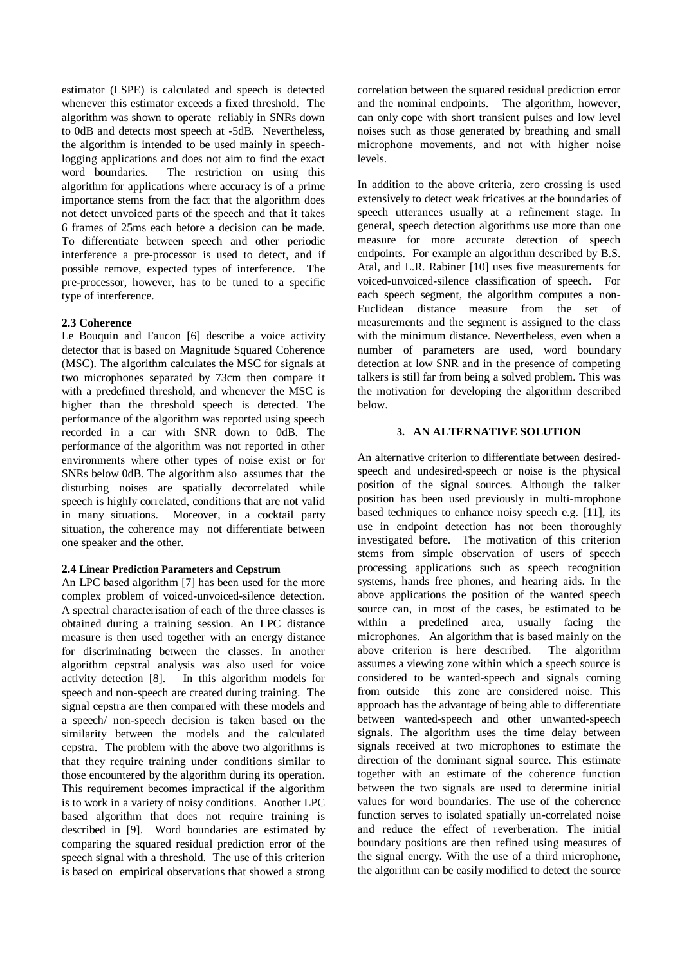estimator (LSPE) is calculated and speech is detected whenever this estimator exceeds a fixed threshold. The algorithm was shown to operate reliably in SNRs down to 0dB and detects most speech at -5dB. Nevertheless, the algorithm is intended to be used mainly in speechlogging applications and does not aim to find the exact word boundaries. The restriction on using this algorithm for applications where accuracy is of a prime importance stems from the fact that the algorithm does not detect unvoiced parts of the speech and that it takes 6 frames of 25ms each before a decision can be made. To differentiate between speech and other periodic interference a pre-processor is used to detect, and if possible remove, expected types of interference. The pre-processor, however, has to be tuned to a specific type of interference.

# **2.3 Coherence**

Le Bouquin and Faucon [6] describe a voice activity detector that is based on Magnitude Squared Coherence (MSC). The algorithm calculates the MSC for signals at two microphones separated by 73cm then compare it with a predefined threshold, and whenever the MSC is higher than the threshold speech is detected. The performance of the algorithm was reported using speech recorded in a car with SNR down to 0dB. The performance of the algorithm was not reported in other environments where other types of noise exist or for SNRs below 0dB. The algorithm also assumes that the disturbing noises are spatially decorrelated while speech is highly correlated, conditions that are not valid in many situations. Moreover, in a cocktail party situation, the coherence may not differentiate between one speaker and the other.

#### **2.4 Linear Prediction Parameters and Cepstrum**

An LPC based algorithm [7] has been used for the more complex problem of voiced-unvoiced-silence detection. A spectral characterisation of each of the three classes is obtained during a training session. An LPC distance measure is then used together with an energy distance for discriminating between the classes. In another algorithm cepstral analysis was also used for voice activity detection [8]. In this algorithm models for speech and non-speech are created during training. The signal cepstra are then compared with these models and a speech/ non-speech decision is taken based on the similarity between the models and the calculated cepstra. The problem with the above two algorithms is that they require training under conditions similar to those encountered by the algorithm during its operation. This requirement becomes impractical if the algorithm is to work in a variety of noisy conditions. Another LPC based algorithm that does not require training is described in [9]. Word boundaries are estimated by comparing the squared residual prediction error of the speech signal with a threshold. The use of this criterion is based on empirical observations that showed a strong correlation between the squared residual prediction error and the nominal endpoints. The algorithm, however, can only cope with short transient pulses and low level noises such as those generated by breathing and small microphone movements, and not with higher noise levels.

In addition to the above criteria, zero crossing is used extensively to detect weak fricatives at the boundaries of speech utterances usually at a refinement stage. In general, speech detection algorithms use more than one measure for more accurate detection of speech endpoints. For example an algorithm described by B.S. Atal, and L.R. Rabiner [10] uses five measurements for voiced-unvoiced-silence classification of speech. For each speech segment, the algorithm computes a non-Euclidean distance measure from the set of measurements and the segment is assigned to the class with the minimum distance. Nevertheless, even when a number of parameters are used, word boundary detection at low SNR and in the presence of competing talkers is still far from being a solved problem. This was the motivation for developing the algorithm described below.

#### **3. AN ALTERNATIVE SOLUTION**

An alternative criterion to differentiate between desiredspeech and undesired-speech or noise is the physical position of the signal sources. Although the talker position has been used previously in multi-mrophone based techniques to enhance noisy speech e.g. [11], its use in endpoint detection has not been thoroughly investigated before. The motivation of this criterion stems from simple observation of users of speech processing applications such as speech recognition systems, hands free phones, and hearing aids. In the above applications the position of the wanted speech source can, in most of the cases, be estimated to be within a predefined area, usually facing the microphones. An algorithm that is based mainly on the above criterion is here described. The algorithm assumes a viewing zone within which a speech source is considered to be wanted-speech and signals coming from outside this zone are considered noise. This approach has the advantage of being able to differentiate between wanted-speech and other unwanted-speech signals. The algorithm uses the time delay between signals received at two microphones to estimate the direction of the dominant signal source. This estimate together with an estimate of the coherence function between the two signals are used to determine initial values for word boundaries. The use of the coherence function serves to isolated spatially un-correlated noise and reduce the effect of reverberation. The initial boundary positions are then refined using measures of the signal energy. With the use of a third microphone, the algorithm can be easily modified to detect the source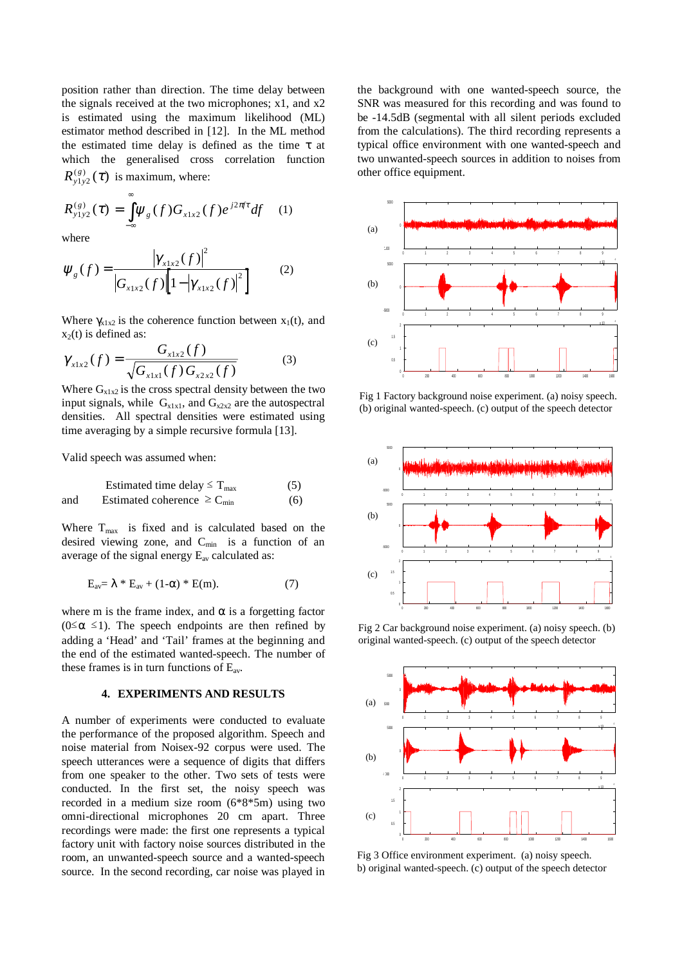position rather than direction. The time delay between the signals received at the two microphones; x1, and x2 is estimated using the maximum likelihood (ML) estimator method described in [12]. In the ML method the estimated time delay is defined as the time  $\tau$  at which the generalised cross correlation function  $R_{y1y}^{(g)}$  $\chi_{y_1y_2}^{(g)}(\tau)$  is maximum, where:

$$
R_{y_1y_2}^{(g)}(\tau) = \int_{-\infty}^{\infty} \psi_g(f) G_{x1x2}(f) e^{j2\pi f \tau} df \quad (1)
$$

where

$$
\Psi_{g}(f) = \frac{\left|\gamma_{x1x2}(f)\right|^{2}}{\left|G_{x1x2}(f)\right|\left[1-\left|\gamma_{x1x2}(f)\right|^{2}\right]}
$$
(2)

Where  $\gamma_{x1x2}$  is the coherence function between  $x_1(t)$ , and  $x_2(t)$  is defined as:

$$
\gamma_{x1x2}(f) = \frac{G_{x1x2}(f)}{\sqrt{G_{x1x1}(f)G_{x2x2}(f)}}
$$
(3)

Where  $G_{x1x2}$  is the cross spectral density between the two input signals, while  $G_{x1x1}$ , and  $G_{x2x2}$  are the autospectral densities. All spectral densities were estimated using time averaging by a simple recursive formula [13].

Valid speech was assumed when:

Estimated time delay 
$$
\leq T_{\text{max}}
$$
 (5)  
and Estimated coherence  $\geq C_{\text{min}}$  (6)

Where  $T_{\text{max}}$  is fixed and is calculated based on the desired viewing zone, and  $C_{min}$  is a function of an average of the signal energy Eav calculated as:

$$
E_{av} = \lambda * E_{av} + (1-\alpha) * E(m). \tag{7}
$$

where m is the frame index, and  $\alpha$  is a forgetting factor ( $0 \le \alpha \le 1$ ). The speech endpoints are then refined by adding a 'Head' and 'Tail' frames at the beginning and the end of the estimated wanted-speech. The number of these frames is in turn functions of  $E_{av}$ .

#### **4. EXPERIMENTS AND RESULTS**

A number of experiments were conducted to evaluate the performance of the proposed algorithm. Speech and noise material from Noisex-92 corpus were used. The speech utterances were a sequence of digits that differs from one speaker to the other. Two sets of tests were conducted. In the first set, the noisy speech was recorded in a medium size room (6\*8\*5m) using two omni-directional microphones 20 cm apart. Three recordings were made: the first one represents a typical factory unit with factory noise sources distributed in the room, an unwanted-speech source and a wanted-speech source. In the second recording, car noise was played in the background with one wanted-speech source, the SNR was measured for this recording and was found to be -14.5dB (segmental with all silent periods excluded from the calculations). The third recording represents a typical office environment with one wanted-speech and two unwanted-speech sources in addition to noises from other office equipment.



Fig 1 Factory background noise experiment. (a) noisy speech. (b) original wanted-speech. (c) output of the speech detector



Fig 2 Car background noise experiment. (a) noisy speech. (b) original wanted-speech. (c) output of the speech detector



Fig 3 Office environment experiment. (a) noisy speech. b) original wanted-speech. (c) output of the speech detector